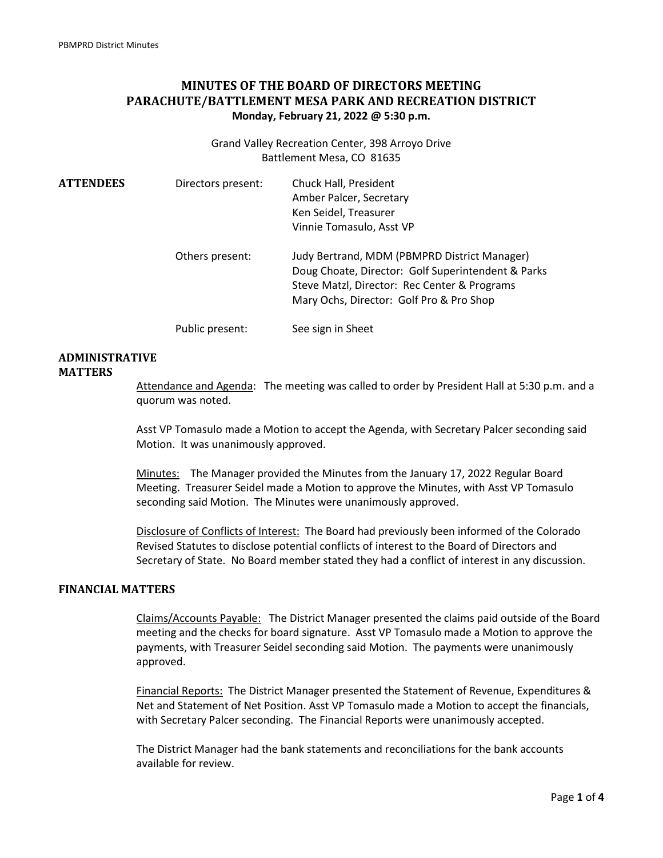## **MINUTES OF THE BOARD OF DIRECTORS MEETING PARACHUTE/BATTLEMENT MESA PARK AND RECREATION DISTRICT Monday, February 21, 2022 @ 5:30 p.m.**

Grand Valley Recreation Center, 398 Arroyo Drive Battlement Mesa, CO 81635

| <b>ATTENDEES</b> | Directors present: | Chuck Hall, President<br>Amber Palcer, Secretary<br>Ken Seidel, Treasurer<br>Vinnie Tomasulo, Asst VP                                                                                          |
|------------------|--------------------|------------------------------------------------------------------------------------------------------------------------------------------------------------------------------------------------|
|                  | Others present:    | Judy Bertrand, MDM (PBMPRD District Manager)<br>Doug Choate, Director: Golf Superintendent & Parks<br>Steve Matzl, Director: Rec Center & Programs<br>Mary Ochs, Director: Golf Pro & Pro Shop |
|                  | Public present:    | See sign in Sheet                                                                                                                                                                              |

# **ADMINISTRATIVE**

#### **MATTERS**

Attendance and Agenda: The meeting was called to order by President Hall at 5:30 p.m. and a quorum was noted.

Asst VP Tomasulo made a Motion to accept the Agenda, with Secretary Palcer seconding said Motion. It was unanimously approved.

Minutes: The Manager provided the Minutes from the January 17, 2022 Regular Board Meeting. Treasurer Seidel made a Motion to approve the Minutes, with Asst VP Tomasulo seconding said Motion. The Minutes were unanimously approved.

Disclosure of Conflicts of Interest: The Board had previously been informed of the Colorado Revised Statutes to disclose potential conflicts of interest to the Board of Directors and Secretary of State. No Board member stated they had a conflict of interest in any discussion.

### **FINANCIAL MATTERS**

Claims/Accounts Payable: The District Manager presented the claims paid outside of the Board meeting and the checks for board signature. Asst VP Tomasulo made a Motion to approve the payments, with Treasurer Seidel seconding said Motion. The payments were unanimously approved.

Financial Reports: The District Manager presented the Statement of Revenue, Expenditures & Net and Statement of Net Position. Asst VP Tomasulo made a Motion to accept the financials, with Secretary Palcer seconding. The Financial Reports were unanimously accepted.

The District Manager had the bank statements and reconciliations for the bank accounts available for review.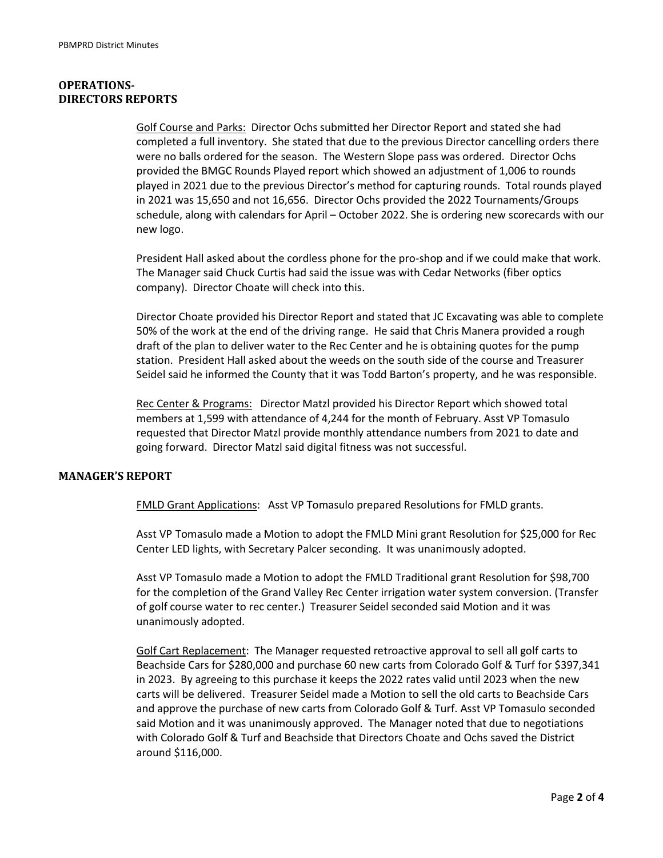#### **OPERATIONS-DIRECTORS REPORTS**

Golf Course and Parks: Director Ochs submitted her Director Report and stated she had completed a full inventory. She stated that due to the previous Director cancelling orders there were no balls ordered for the season. The Western Slope pass was ordered. Director Ochs provided the BMGC Rounds Played report which showed an adjustment of 1,006 to rounds played in 2021 due to the previous Director's method for capturing rounds. Total rounds played in 2021 was 15,650 and not 16,656. Director Ochs provided the 2022 Tournaments/Groups schedule, along with calendars for April – October 2022. She is ordering new scorecards with our new logo.

President Hall asked about the cordless phone for the pro-shop and if we could make that work. The Manager said Chuck Curtis had said the issue was with Cedar Networks (fiber optics company). Director Choate will check into this.

Director Choate provided his Director Report and stated that JC Excavating was able to complete 50% of the work at the end of the driving range. He said that Chris Manera provided a rough draft of the plan to deliver water to the Rec Center and he is obtaining quotes for the pump station. President Hall asked about the weeds on the south side of the course and Treasurer Seidel said he informed the County that it was Todd Barton's property, and he was responsible.

Rec Center & Programs: Director Matzl provided his Director Report which showed total members at 1,599 with attendance of 4,244 for the month of February. Asst VP Tomasulo requested that Director Matzl provide monthly attendance numbers from 2021 to date and going forward. Director Matzl said digital fitness was not successful.

#### **MANAGER'S REPORT**

FMLD Grant Applications: Asst VP Tomasulo prepared Resolutions for FMLD grants.

Asst VP Tomasulo made a Motion to adopt the FMLD Mini grant Resolution for \$25,000 for Rec Center LED lights, with Secretary Palcer seconding. It was unanimously adopted.

Asst VP Tomasulo made a Motion to adopt the FMLD Traditional grant Resolution for \$98,700 for the completion of the Grand Valley Rec Center irrigation water system conversion. (Transfer of golf course water to rec center.) Treasurer Seidel seconded said Motion and it was unanimously adopted.

Golf Cart Replacement: The Manager requested retroactive approval to sell all golf carts to Beachside Cars for \$280,000 and purchase 60 new carts from Colorado Golf & Turf for \$397,341 in 2023. By agreeing to this purchase it keeps the 2022 rates valid until 2023 when the new carts will be delivered. Treasurer Seidel made a Motion to sell the old carts to Beachside Cars and approve the purchase of new carts from Colorado Golf & Turf. Asst VP Tomasulo seconded said Motion and it was unanimously approved. The Manager noted that due to negotiations with Colorado Golf & Turf and Beachside that Directors Choate and Ochs saved the District around \$116,000.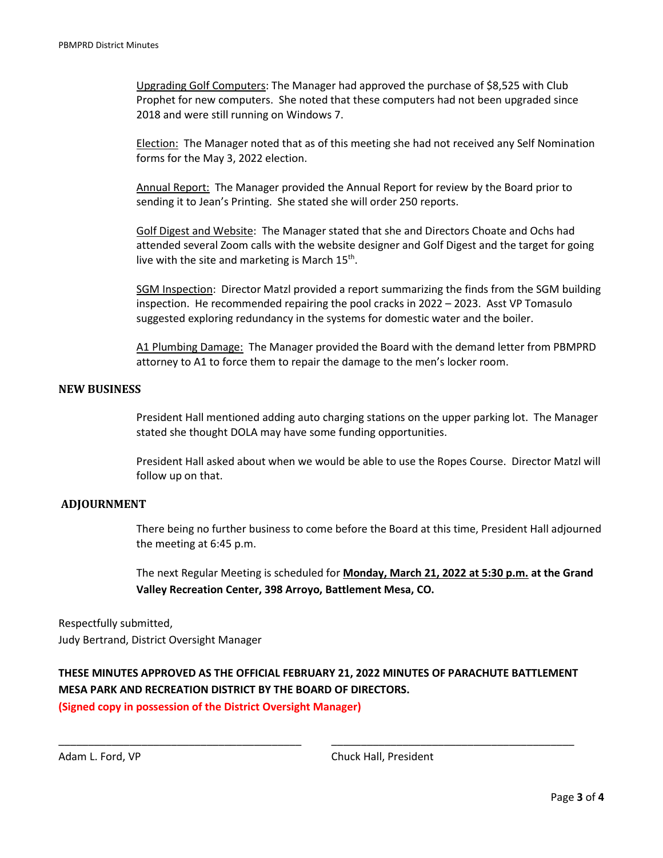Upgrading Golf Computers: The Manager had approved the purchase of \$8,525 with Club Prophet for new computers. She noted that these computers had not been upgraded since 2018 and were still running on Windows 7.

Election: The Manager noted that as of this meeting she had not received any Self Nomination forms for the May 3, 2022 election.

Annual Report: The Manager provided the Annual Report for review by the Board prior to sending it to Jean's Printing. She stated she will order 250 reports.

Golf Digest and Website: The Manager stated that she and Directors Choate and Ochs had attended several Zoom calls with the website designer and Golf Digest and the target for going live with the site and marketing is March 15<sup>th</sup>.

SGM Inspection: Director Matzl provided a report summarizing the finds from the SGM building inspection. He recommended repairing the pool cracks in 2022 – 2023. Asst VP Tomasulo suggested exploring redundancy in the systems for domestic water and the boiler.

A1 Plumbing Damage: The Manager provided the Board with the demand letter from PBMPRD attorney to A1 to force them to repair the damage to the men's locker room.

#### **NEW BUSINESS**

President Hall mentioned adding auto charging stations on the upper parking lot. The Manager stated she thought DOLA may have some funding opportunities.

President Hall asked about when we would be able to use the Ropes Course. Director Matzl will follow up on that.

#### **ADJOURNMENT**

There being no further business to come before the Board at this time, President Hall adjourned the meeting at 6:45 p.m.

The next Regular Meeting is scheduled for **Monday, March 21, 2022 at 5:30 p.m. at the Grand Valley Recreation Center, 398 Arroyo, Battlement Mesa, CO.**

Respectfully submitted, Judy Bertrand, District Oversight Manager

**THESE MINUTES APPROVED AS THE OFFICIAL FEBRUARY 21, 2022 MINUTES OF PARACHUTE BATTLEMENT MESA PARK AND RECREATION DISTRICT BY THE BOARD OF DIRECTORS.** 

\_\_\_\_\_\_\_\_\_\_\_\_\_\_\_\_\_\_\_\_\_\_\_\_\_\_\_\_\_\_\_\_\_\_\_\_\_\_\_\_\_ \_\_\_\_\_\_\_\_\_\_\_\_\_\_\_\_\_\_\_\_\_\_\_\_\_\_\_\_\_\_\_\_\_\_\_\_\_\_\_\_\_

**(Signed copy in possession of the District Oversight Manager)**

Adam L. Ford, VP Chuck Hall, President